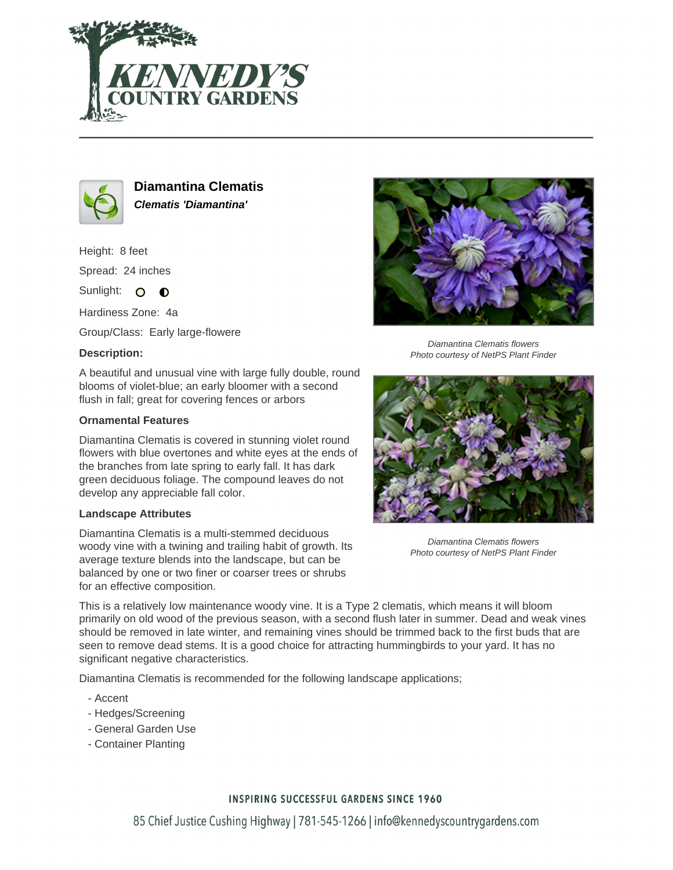



**Diamantina Clematis Clematis 'Diamantina'**

Height: 8 feet Spread: 24 inches

Sunlight: O **O** 

Hardiness Zone: 4a

Group/Class: Early large-flowere

# **Description:**

A beautiful and unusual vine with large fully double, round blooms of violet-blue; an early bloomer with a second flush in fall; great for covering fences or arbors

### **Ornamental Features**

Diamantina Clematis is covered in stunning violet round flowers with blue overtones and white eyes at the ends of the branches from late spring to early fall. It has dark green deciduous foliage. The compound leaves do not develop any appreciable fall color.

### **Landscape Attributes**

Diamantina Clematis is a multi-stemmed deciduous woody vine with a twining and trailing habit of growth. Its average texture blends into the landscape, but can be balanced by one or two finer or coarser trees or shrubs for an effective composition.



Diamantina Clematis flowers Photo courtesy of NetPS Plant Finder



Diamantina Clematis flowers Photo courtesy of NetPS Plant Finder

This is a relatively low maintenance woody vine. It is a Type 2 clematis, which means it will bloom primarily on old wood of the previous season, with a second flush later in summer. Dead and weak vines should be removed in late winter, and remaining vines should be trimmed back to the first buds that are seen to remove dead stems. It is a good choice for attracting hummingbirds to your yard. It has no significant negative characteristics.

Diamantina Clematis is recommended for the following landscape applications;

- Accent
- Hedges/Screening
- General Garden Use
- Container Planting

# **INSPIRING SUCCESSFUL GARDENS SINCE 1960**

85 Chief Justice Cushing Highway | 781-545-1266 | info@kennedyscountrygardens.com